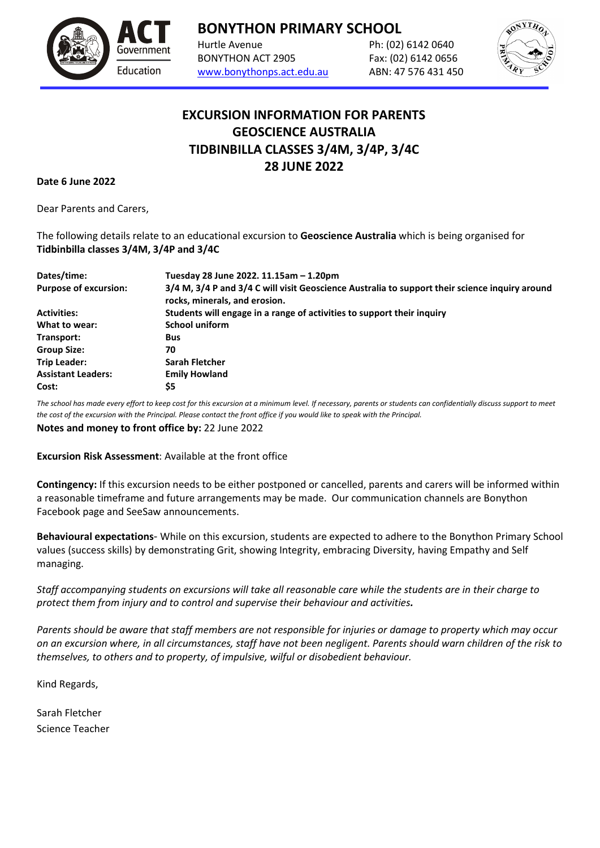

**BONYTHON PRIMARY SCHOOL**

Hurtle Avenue Ph: (02) 6142 0640 BONYTHON ACT 2905 Fax: (02) 6142 0656 [www.bonythonps.act.edu.au](http://www.bonythonps.act.edu.au/) ABN: 47 576 431 450



## **EXCURSION INFORMATION FOR PARENTS GEOSCIENCE AUSTRALIA TIDBINBILLA CLASSES 3/4M, 3/4P, 3/4C 28 JUNE 2022**

**Date 6 June 2022**

Dear Parents and Carers,

The following details relate to an educational excursion to **Geoscience Australia** which is being organised for **Tidbinbilla classes 3/4M, 3/4P and 3/4C**

| Dates/time:                  | Tuesday 28 June 2022. 11.15am - 1.20pm                                                                                          |
|------------------------------|---------------------------------------------------------------------------------------------------------------------------------|
| <b>Purpose of excursion:</b> | 3/4 M, 3/4 P and 3/4 C will visit Geoscience Australia to support their science inquiry around<br>rocks, minerals, and erosion. |
| <b>Activities:</b>           | Students will engage in a range of activities to support their inquiry                                                          |
| What to wear:                | <b>School uniform</b>                                                                                                           |
| Transport:                   | <b>Bus</b>                                                                                                                      |
| <b>Group Size:</b>           | 70                                                                                                                              |
| <b>Trip Leader:</b>          | Sarah Fletcher                                                                                                                  |
| <b>Assistant Leaders:</b>    | <b>Emily Howland</b>                                                                                                            |
| Cost:                        | \$5                                                                                                                             |

*The school has made every effort to keep cost for this excursion at a minimum level. If necessary, parents or students can confidentially discuss support to meet the cost of the excursion with the Principal. Please contact the front office if you would like to speak with the Principal.*

**Notes and money to front office by:** 22 June 2022

**Excursion Risk Assessment**: Available at the front office

**Contingency:** If this excursion needs to be either postponed or cancelled, parents and carers will be informed within a reasonable timeframe and future arrangements may be made. Our communication channels are Bonython Facebook page and SeeSaw announcements.

**Behavioural expectations**- While on this excursion, students are expected to adhere to the Bonython Primary School values (success skills) by demonstrating Grit, showing Integrity, embracing Diversity, having Empathy and Self managing.

*Staff accompanying students on excursions will take all reasonable care while the students are in their charge to protect them from injury and to control and supervise their behaviour and activities.*

*Parents should be aware that staff members are not responsible for injuries or damage to property which may occur on an excursion where, in all circumstances, staff have not been negligent. Parents should warn children of the risk to themselves, to others and to property, of impulsive, wilful or disobedient behaviour.*

Kind Regards,

Sarah Fletcher Science Teacher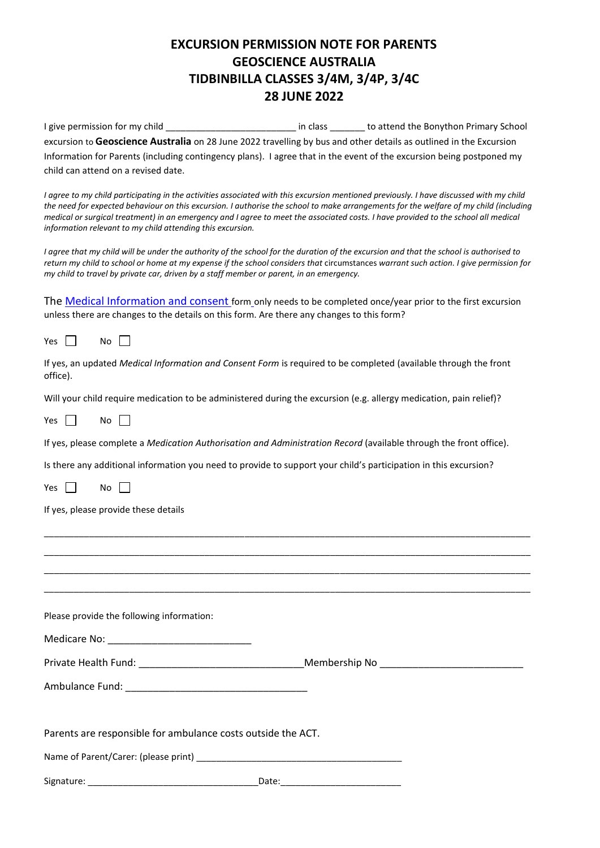## **EXCURSION PERMISSION NOTE FOR PARENTS GEOSCIENCE AUSTRALIA TIDBINBILLA CLASSES 3/4M, 3/4P, 3/4C 28 JUNE 2022**

I give permission for my child \_\_\_\_\_\_\_\_\_\_\_\_\_\_\_\_\_\_\_\_\_\_\_\_\_\_\_\_\_\_\_\_ in class \_\_\_\_\_\_\_\_ to attend the Bonython Primary School excursion to **Geoscience Australia** on 28 June 2022 travelling by bus and other details as outlined in the Excursion Information for Parents (including contingency plans). I agree that in the event of the excursion being postponed my child can attend on a revised date.

*I* agree to my child participating in the activities associated with this excursion mentioned previously. I have discussed with my child *the need for expected behaviour on this excursion. I authorise the school to make arrangements for the welfare of my child (including medical or surgical treatment) in an emergency and I agree to meet the associated costs. I have provided to the school all medical information relevant to my child attending this excursion.*

*I agree that my child will be under the authority of the school for the duration of the excursion and that the school is authorised to*  return my child to school or home at my expense if the school considers that circumstances warrant such action. I give permission for *my child to travel by private car, driven by a staff member or parent, in an emergency.* 

The [Medical Information and consent](https://www.education.act.gov.au/publications_and_policies/implementation-documents/school-and-corporate-policies/school-activities/excursions/excursions-policy/attachment-4-medical-information-and-consent-form) form only needs to be completed once/year prior to the first excursion unless there are changes to the details on this form. Are there any changes to this form?

Yes  $\Box$  No  $\Box$ 

|          | If yes, an updated Medical Information and Consent Form is required to be completed (available through the front |  |  |  |  |  |  |
|----------|------------------------------------------------------------------------------------------------------------------|--|--|--|--|--|--|
| office). |                                                                                                                  |  |  |  |  |  |  |

Will your child require medication to be administered during the excursion (e.g. allergy medication, pain relief)?

Yes  $\Box$  No  $\Box$ 

If yes, please complete a *Medication Authorisation and Administration Record* (available through the front office).

Is there any additional information you need to provide to support your child's participation in this excursion?

Yes  $\Box$  No  $\Box$ 

If yes, please provide these details

| Please provide the following information:                    |  |
|--------------------------------------------------------------|--|
|                                                              |  |
|                                                              |  |
|                                                              |  |
|                                                              |  |
| Parents are responsible for ambulance costs outside the ACT. |  |
|                                                              |  |
|                                                              |  |